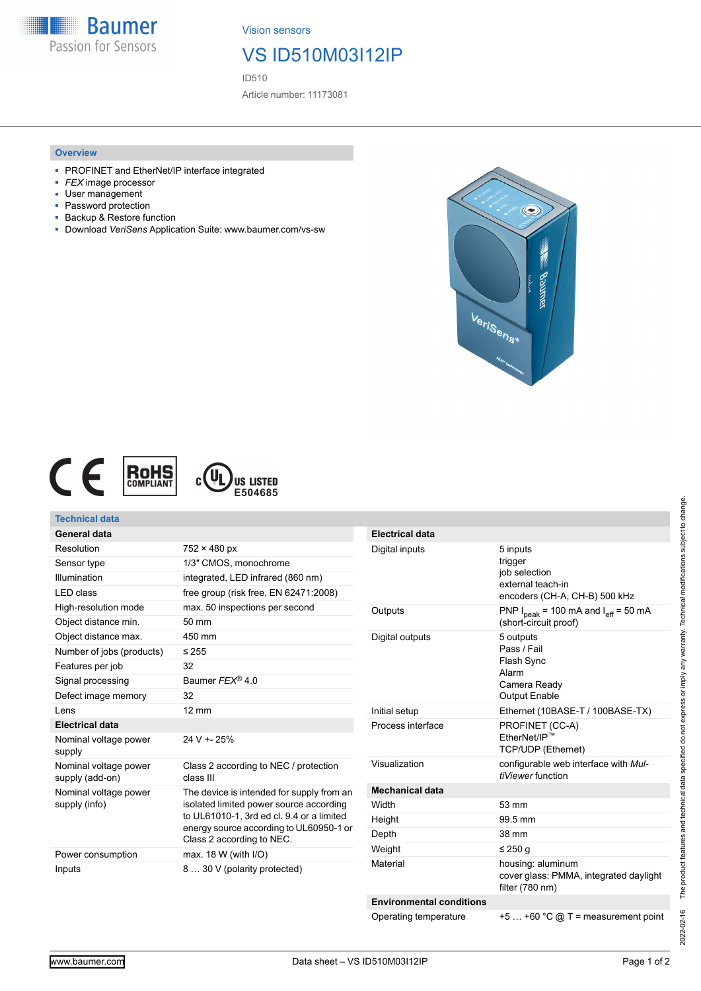

Vision sensors

# VS ID510M03I12IP

ID510

Article number: 11173081

#### **Overview**

- PROFINET and EtherNet/IP interface integrated
- *FEX* image processor
- User management<br>■ Password protectic
- Password protection
- Backup & Restore function
- Download *VeriSens* Application Suite: www.baumer.com/vs-sw





### **Technical data**

| General data                             |                                                                                                                                                                                                           |
|------------------------------------------|-----------------------------------------------------------------------------------------------------------------------------------------------------------------------------------------------------------|
| Resolution                               | $752 \times 480$ px                                                                                                                                                                                       |
| Sensor type                              | 1/3" CMOS, monochrome                                                                                                                                                                                     |
| Illumination                             | integrated, LED infrared (860 nm)                                                                                                                                                                         |
| I FD class                               | free group (risk free, EN 62471:2008)                                                                                                                                                                     |
| High-resolution mode                     | max. 50 inspections per second                                                                                                                                                                            |
| Object distance min.                     | 50 mm                                                                                                                                                                                                     |
| Object distance max.                     | 450 mm                                                                                                                                                                                                    |
| Number of jobs (products)                | $\leq$ 255                                                                                                                                                                                                |
| Features per job                         | 32                                                                                                                                                                                                        |
| Signal processing                        | Baumer $FFX^{\odot}$ 4.0                                                                                                                                                                                  |
| Defect image memory                      | 32                                                                                                                                                                                                        |
| Lens                                     | $12 \text{ mm}$                                                                                                                                                                                           |
| <b>Electrical data</b>                   |                                                                                                                                                                                                           |
| Nominal voltage power<br>supply          | 24 V + - 25%                                                                                                                                                                                              |
| Nominal voltage power<br>supply (add-on) | Class 2 according to NEC / protection<br>class III                                                                                                                                                        |
| Nominal voltage power<br>supply (info)   | The device is intended for supply from an<br>isolated limited power source according<br>to UL61010-1, 3rd ed cl. 9.4 or a limited<br>energy source according to UL60950-1 or<br>Class 2 according to NEC. |
| Power consumption                        | max. $18 W$ (with $I/O$ )                                                                                                                                                                                 |
| Inputs                                   | 8  30 V (polarity protected)                                                                                                                                                                              |

| <b>Electrical data</b>          |                                                                                                |
|---------------------------------|------------------------------------------------------------------------------------------------|
| Digital inputs                  | 5 inputs<br>trigger<br>job selection<br>external teach-in<br>encoders (CH-A, CH-B) 500 kHz     |
| Outputs                         | PNP $I_{peak}$ = 100 mA and $I_{eff}$ = 50 mA<br>(short-circuit proof)                         |
| Digital outputs                 | 5 outputs<br>Pass / Fail<br><b>Flash Sync</b><br>Alarm<br>Camera Ready<br><b>Output Enable</b> |
| Initial setup                   | Ethernet (10BASE-T / 100BASE-TX)                                                               |
| Process interface               | PROFINET (CC-A)<br>EtherNet/IP™<br>TCP/UDP (Ethernet)                                          |
| Visualization                   | configurable web interface with Mul-<br>tiViewer function                                      |
| <b>Mechanical data</b>          |                                                                                                |
| Width                           | $53 \text{ mm}$                                                                                |
| Height                          | 99.5 mm                                                                                        |
| Depth                           | 38 mm                                                                                          |
| Weight                          | ≤ 250 g                                                                                        |
| Material                        | housing: aluminum<br>cover glass: PMMA, integrated daylight<br>filter (780 nm)                 |
| <b>Environmental conditions</b> |                                                                                                |
| Operating temperature           | $+5+60$ °C @ T = measurement point                                                             |

2022-02-16 The product features and technical data specified do not express or imply any warranty. Technical modifications subject to change. 2022-02-16 The product features and technical data specified do not express or imply any warranty. Technical modifications subject to change.